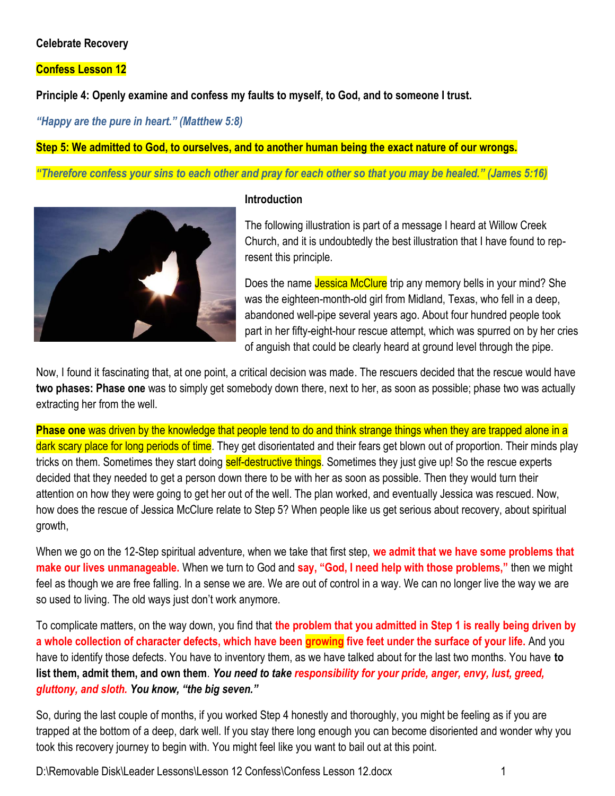# **Celebrate Recovery**

**Confess Lesson 12**

**Principle 4: Openly examine and confess my faults to myself, to God, and to someone I trust.** 

*"Happy are the pure in heart." (Matthew 5:8)* 

**Step 5: We admitted to God, to ourselves, and to another human being the exact nature of our wrongs.**

*"Therefore confess your sins to each other and pray for each other so that you may be healed." (James 5:16)*



### **Introduction**

The following illustration is part of a message I heard at Willow Creek Church, and it is undoubtedly the best illustration that I have found to represent this principle.

Does the name **Jessica McClure** trip any memory bells in your mind? She was the eighteen-month-old girl from Midland, Texas, who fell in a deep, abandoned well-pipe several years ago. About four hundred people took part in her fifty-eight-hour rescue attempt, which was spurred on by her cries of anguish that could be clearly heard at ground level through the pipe.

Now, I found it fascinating that, at one point, a critical decision was made. The rescuers decided that the rescue would have **two phases: Phase one** was to simply get somebody down there, next to her, as soon as possible; phase two was actually extracting her from the well.

Phase one was driven by the knowledge that people tend to do and think strange things when they are trapped alone in a dark scary place for long periods of time. They get disorientated and their fears get blown out of proportion. Their minds play tricks on them. Sometimes they start doing self-destructive things. Sometimes they just give up! So the rescue experts decided that they needed to get a person down there to be with her as soon as possible. Then they would turn their attention on how they were going to get her out of the well. The plan worked, and eventually Jessica was rescued. Now, how does the rescue of Jessica McClure relate to Step 5? When people like us get serious about recovery, about spiritual growth,

When we go on the 12-Step spiritual adventure, when we take that first step, **we admit that we have some problems that make our lives unmanageable.** When we turn to God and **say, "God, I need help with those problems,"** then we might feel as though we are free falling. In a sense we are. We are out of control in a way. We can no longer live the way we are so used to living. The old ways just don't work anymore.

To complicate matters, on the way down, you find that **the problem that you admitted in Step 1 is really being driven by a whole collection of character defects, which have been growing five feet under the surface of your life.** And you have to identify those defects. You have to inventory them, as we have talked about for the last two months. You have **to list them, admit them, and own them**. *You need to take responsibility for your pride, anger, envy, lust, greed, gluttony, and sloth. You know, "the big seven."*

So, during the last couple of months, if you worked Step 4 honestly and thoroughly, you might be feeling as if you are trapped at the bottom of a deep, dark well. If you stay there long enough you can become disoriented and wonder why you took this recovery journey to begin with. You might feel like you want to bail out at this point.

D:\Removable Disk\Leader Lessons\Lesson 12 Confess\Confess Lesson 12.docx 1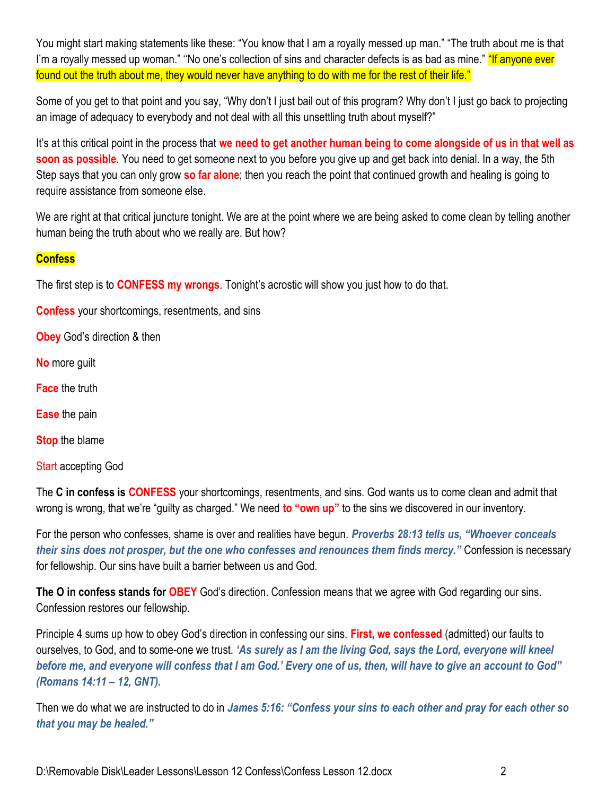You might start making statements like these: "You know that I am a royally messed up man." "The truth about me is that I'm a royally messed up woman." "No one's collection of sins and character defects is as bad as mine." "If anyone ever found out the truth about me, they would never have anything to do with me for the rest of their life."

Some of you get to that point and you say, "Why don't I just bail out of this program? Why don't I just go back to projecting an image of adequacy to everybody and not deal with all this unsettling truth about myself?"

It's at this critical point in the process that **we need to get another human being to come alongside of us in that well as soon as possible**. You need to get someone next to you before you give up and get back into denial. In a way, the 5th Step says that you can only grow **so far alone**; then you reach the point that continued growth and healing is going to require assistance from someone else.

We are right at that critical juncture tonight. We are at the point where we are being asked to come clean by telling another human being the truth about who we really are. But how?

# **Confess**

The first step is to **CONFESS my wrongs**. Tonight's acrostic will show you just how to do that.

**Confess** your shortcomings, resentments, and sins

**Obey** God's direction & then

**No** more guilt

**Face** the truth

**Ease** the pain

**Stop** the blame

Start accepting God

The **C in confess is CONFESS** your shortcomings, resentments, and sins. God wants us to come clean and admit that wrong is wrong, that we're "guilty as charged." We need **to "own up"** to the sins we discovered in our inventory.

For the person who confesses, shame is over and realities have begun. *Proverbs 28:13 tells us, "Whoever conceals their sins does not prosper, but the one who confesses and renounces them finds mercy."* Confession is necessary for fellowship. Our sins have built a barrier between us and God.

**The O in confess stands for OBEY** God's direction. Confession means that we agree with God regarding our sins. Confession restores our fellowship.

Principle 4 sums up how to obey God's direction in confessing our sins. **First, we confessed** (admitted) our faults to ourselves, to God, and to some-one we trust. *'As surely as I am the living God, says the Lord, everyone will kneel before me, and everyone will confess that I am God.' Every one of us, then, will have to give an account to God" (Romans 14:11 – 12, GNT).* 

Then we do what we are instructed to do in *James 5:16: "Confess your sins to each other and pray for each other so that you may be healed."*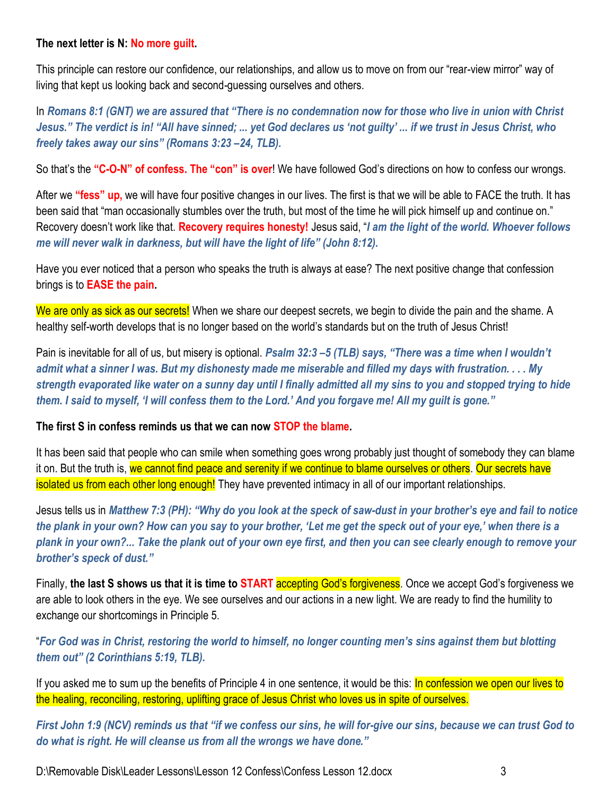## **The next letter is N: No more guilt.**

This principle can restore our confidence, our relationships, and allow us to move on from our "rear-view mirror" way of living that kept us looking back and second-guessing ourselves and others.

In *Romans 8:1 (GNT) we are assured that "There is no condemnation now for those who live in union with Christ Jesus." The verdict is in! "All have sinned; ... yet God declares us 'not guilty' ... if we trust in Jesus Christ, who freely takes away our sins" (Romans 3:23 –24, TLB).* 

So that's the **"C-O-N" of confess. The "con" is over**! We have followed God's directions on how to confess our wrongs.

After we **"fess" up,** we will have four positive changes in our lives. The first is that we will be able to FACE the truth. It has been said that "man occasionally stumbles over the truth, but most of the time he will pick himself up and continue on." Recovery doesn't work like that. **Recovery requires honesty!** Jesus said, "*I am the light of the world. Whoever follows me will never walk in darkness, but will have the light of life" (John 8:12).* 

Have you ever noticed that a person who speaks the truth is always at ease? The next positive change that confession brings is to **EASE the pain.** 

We are only as sick as our secrets! When we share our deepest secrets, we begin to divide the pain and the shame. A healthy self-worth develops that is no longer based on the world's standards but on the truth of Jesus Christ!

Pain is inevitable for all of us, but misery is optional. *Psalm 32:3 –5 (TLB) says, "There was a time when I wouldn't admit what a sinner I was. But my dishonesty made me miserable and filled my days with frustration. . . . My strength evaporated like water on a sunny day until I finally admitted all my sins to you and stopped trying to hide them. I said to myself, 'I will confess them to the Lord.' And you forgave me! All my guilt is gone."* 

**The first S in confess reminds us that we can now STOP the blame.** 

It has been said that people who can smile when something goes wrong probably just thought of somebody they can blame it on. But the truth is, we cannot find peace and serenity if we continue to blame ourselves or others. Our secrets have isolated us from each other long enough! They have prevented intimacy in all of our important relationships.

Jesus tells us in *Matthew 7:3 (PH): "Why do you look at the speck of saw-dust in your brother's eye and fail to notice the plank in your own? How can you say to your brother, 'Let me get the speck out of your eye,' when there is a plank in your own?... Take the plank out of your own eye first, and then you can see clearly enough to remove your brother's speck of dust."* 

Finally, **the last S shows us that it is time to START** accepting God's forgiveness. Once we accept God's forgiveness we are able to look others in the eye. We see ourselves and our actions in a new light. We are ready to find the humility to exchange our shortcomings in Principle 5.

"*For God was in Christ, restoring the world to himself, no longer counting men's sins against them but blotting them out" (2 Corinthians 5:19, TLB).*

If you asked me to sum up the benefits of Principle 4 in one sentence, it would be this: In confession we open our lives to the healing, reconciling, restoring, uplifting grace of Jesus Christ who loves us in spite of ourselves.

*First John 1:9 (NCV) reminds us that "if we confess our sins, he will for-give our sins, because we can trust God to do what is right. He will cleanse us from all the wrongs we have done."* 

D:\Removable Disk\Leader Lessons\Lesson 12 Confess\Confess Lesson 12.docx 3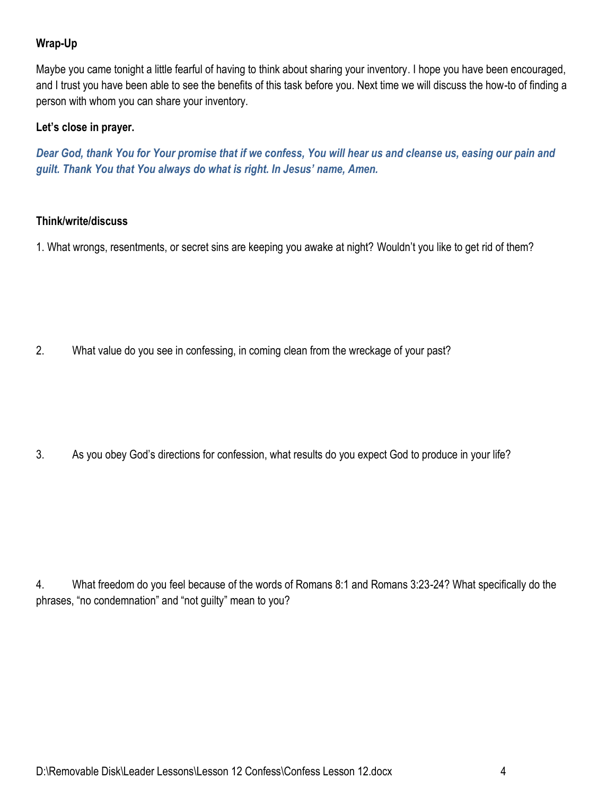# **Wrap-Up**

Maybe you came tonight a little fearful of having to think about sharing your inventory. I hope you have been encouraged, and I trust you have been able to see the benefits of this task before you. Next time we will discuss the how-to of finding a person with whom you can share your inventory.

# **Let's close in prayer.**

*Dear God, thank You for Your promise that if we confess, You will hear us and cleanse us, easing our pain and guilt. Thank You that You always do what is right. In Jesus' name, Amen.*

## **Think/write/discuss**

1. What wrongs, resentments, or secret sins are keeping you awake at night? Wouldn't you like to get rid of them?

2. What value do you see in confessing, in coming clean from the wreckage of your past?

3. As you obey God's directions for confession, what results do you expect God to produce in your life?

4. What freedom do you feel because of the words of Romans 8:1 and Romans 3:23-24? What specifically do the phrases, "no condemnation" and "not guilty" mean to you?